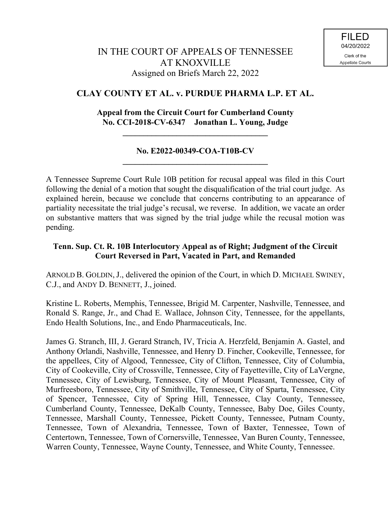# **CLAY COUNTY ET AL. v. PURDUE PHARMA L.P. ET AL.**

## **Appeal from the Circuit Court for Cumberland County No. CCI-2018-CV-6347 Jonathan L. Young, Judge**

## **No. E2022-00349-COA-T10B-CV \_\_\_\_\_\_\_\_\_\_\_\_\_\_\_\_\_\_\_\_\_\_\_\_\_\_\_\_\_\_\_\_\_\_\_**

**\_\_\_\_\_\_\_\_\_\_\_\_\_\_\_\_\_\_\_\_\_\_\_\_\_\_\_\_\_\_\_\_\_\_\_**

A Tennessee Supreme Court Rule 10B petition for recusal appeal was filed in this Court following the denial of a motion that sought the disqualification of the trial court judge. As explained herein, because we conclude that concerns contributing to an appearance of partiality necessitate the trial judge's recusal, we reverse. In addition, we vacate an order on substantive matters that was signed by the trial judge while the recusal motion was pending.

## **Tenn. Sup. Ct. R. 10B Interlocutory Appeal as of Right; Judgment of the Circuit Court Reversed in Part, Vacated in Part, and Remanded**

ARNOLD B. GOLDIN, J., delivered the opinion of the Court, in which D. MICHAEL SWINEY, C.J., and ANDY D. BENNETT, J., joined.

Kristine L. Roberts, Memphis, Tennessee, Brigid M. Carpenter, Nashville, Tennessee, and Ronald S. Range, Jr., and Chad E. Wallace, Johnson City, Tennessee, for the appellants, Endo Health Solutions, Inc., and Endo Pharmaceuticals, Inc.

James G. Stranch, III, J. Gerard Stranch, IV, Tricia A. Herzfeld, Benjamin A. Gastel, and Anthony Orlandi, Nashville, Tennessee, and Henry D. Fincher, Cookeville, Tennessee, for the appellees, City of Algood, Tennessee, City of Clifton, Tennessee, City of Columbia, City of Cookeville, City of Crossville, Tennessee, City of Fayetteville, City of LaVergne, Tennessee, City of Lewisburg, Tennessee, City of Mount Pleasant, Tennessee, City of Murfreesboro, Tennessee, City of Smithville, Tennessee, City of Sparta, Tennessee, City of Spencer, Tennessee, City of Spring Hill, Tennessee, Clay County, Tennessee, Cumberland County, Tennessee, DeKalb County, Tennessee, Baby Doe, Giles County, Tennessee, Marshall County, Tennessee, Pickett County, Tennessee, Putnam County, Tennessee, Town of Alexandria, Tennessee, Town of Baxter, Tennessee, Town of Centertown, Tennessee, Town of Cornersville, Tennessee, Van Buren County, Tennessee, Warren County, Tennessee, Wayne County, Tennessee, and White County, Tennessee.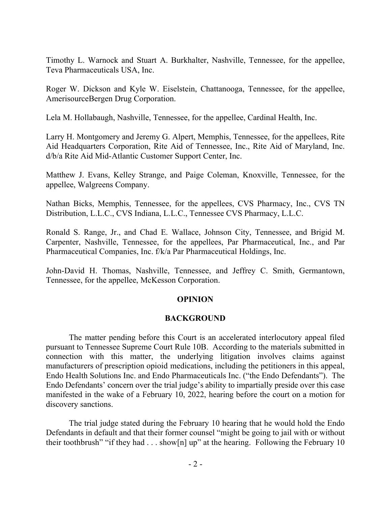Timothy L. Warnock and Stuart A. Burkhalter, Nashville, Tennessee, for the appellee, Teva Pharmaceuticals USA, Inc.

Roger W. Dickson and Kyle W. Eiselstein, Chattanooga, Tennessee, for the appellee, AmerisourceBergen Drug Corporation.

Lela M. Hollabaugh, Nashville, Tennessee, for the appellee, Cardinal Health, Inc.

Larry H. Montgomery and Jeremy G. Alpert, Memphis, Tennessee, for the appellees, Rite Aid Headquarters Corporation, Rite Aid of Tennessee, Inc., Rite Aid of Maryland, Inc. d/b/a Rite Aid Mid-Atlantic Customer Support Center, Inc.

Matthew J. Evans, Kelley Strange, and Paige Coleman, Knoxville, Tennessee, for the appellee, Walgreens Company.

Nathan Bicks, Memphis, Tennessee, for the appellees, CVS Pharmacy, Inc., CVS TN Distribution, L.L.C., CVS Indiana, L.L.C., Tennessee CVS Pharmacy, L.L.C.

Ronald S. Range, Jr., and Chad E. Wallace, Johnson City, Tennessee, and Brigid M. Carpenter, Nashville, Tennessee, for the appellees, Par Pharmaceutical, Inc., and Par Pharmaceutical Companies, Inc. f/k/a Par Pharmaceutical Holdings, Inc.

John-David H. Thomas, Nashville, Tennessee, and Jeffrey C. Smith, Germantown, Tennessee, for the appellee, McKesson Corporation.

#### **OPINION**

#### **BACKGROUND**

The matter pending before this Court is an accelerated interlocutory appeal filed pursuant to Tennessee Supreme Court Rule 10B. According to the materials submitted in connection with this matter, the underlying litigation involves claims against manufacturers of prescription opioid medications, including the petitioners in this appeal, Endo Health Solutions Inc. and Endo Pharmaceuticals Inc. ("the Endo Defendants"). The Endo Defendants' concern over the trial judge's ability to impartially preside over this case manifested in the wake of a February 10, 2022, hearing before the court on a motion for discovery sanctions.

The trial judge stated during the February 10 hearing that he would hold the Endo Defendants in default and that their former counsel "might be going to jail with or without their toothbrush" "if they had . . . show[n] up" at the hearing. Following the February 10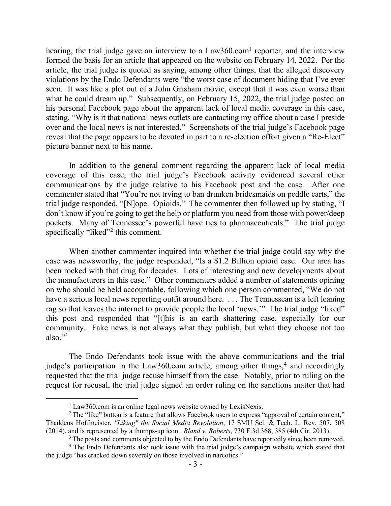hearing, the trial judge gave an interview to a  $Law360$ .com<sup>1</sup> reporter, and the interview formed the basis for an article that appeared on the website on February 14, 2022. Per the article, the trial judge is quoted as saying, among other things, that the alleged discovery violations by the Endo Defendants were "the worst case of document hiding that I've ever seen. It was like a plot out of a John Grisham movie, except that it was even worse than what he could dream up." Subsequently, on February 15, 2022, the trial judge posted on his personal Facebook page about the apparent lack of local media coverage in this case, stating, "Why is it that national news outlets are contacting my office about a case I preside over and the local news is not interested." Screenshots of the trial judge's Facebook page reveal that the page appears to be devoted in part to a re-election effort given a "Re-Elect" picture banner next to his name.

In addition to the general comment regarding the apparent lack of local media coverage of this case, the trial judge's Facebook activity evidenced several other communications by the judge relative to his Facebook post and the case. After one commenter stated that "You're not trying to ban drunken bridesmaids on peddle carts," the trial judge responded, "[N]ope. Opioids." The commenter then followed up by stating, "I don't know if you're going to get the help or platform you need from those with power/deep pockets. Many of Tennessee's powerful have ties to pharmaceuticals." The trial judge specifically "liked"<sup>2</sup> this comment.

When another commenter inquired into whether the trial judge could say why the case was newsworthy, the judge responded, "Is a \$1.2 Billion opioid case. Our area has been rocked with that drug for decades. Lots of interesting and new developments about the manufacturers in this case." Other commenters added a number of statements opining on who should be held accountable, following which one person commented, "We do not have a serious local news reporting outfit around here. ... The Tennessean is a left leaning rag so that leaves the internet to provide people the local 'news.'" The trial judge "liked" this post and responded that "[t]his is an earth shattering case, especially for our community. Fake news is not always what they publish, but what they choose not too also." $3$ 

The Endo Defendants took issue with the above communications and the trial judge's participation in the Law360.com article, among other things,<sup>4</sup> and accordingly requested that the trial judge recuse himself from the case. Notably, prior to ruling on the request for recusal, the trial judge signed an order ruling on the sanctions matter that had

 $1$  Law360.com is an online legal news website owned by LexisNexis.

<sup>&</sup>lt;sup>2</sup> The "like" button is a feature that allows Facebook users to express "approval of certain content," Thaddeus Hoffmeister, *"Liking" the Social Media Revolution*, 17 SMU Sci. & Tech. L. Rev. 507, 508 (2014), and is represented by a thumps-up icon. *Bland v. Roberts*, 730 F.3d 368, 385 (4th Cir. 2013).

<sup>&</sup>lt;sup>3</sup> The posts and comments objected to by the Endo Defendants have reportedly since been removed.

<sup>&</sup>lt;sup>4</sup> The Endo Defendants also took issue with the trial judge's campaign website which stated that the judge "has cracked down severely on those involved in narcotics."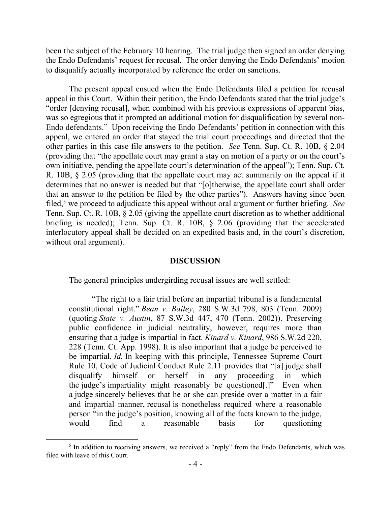been the subject of the February 10 hearing. The trial judge then signed an order denying the Endo Defendants' request for recusal. The order denying the Endo Defendants' motion to disqualify actually incorporated by reference the order on sanctions.

The present appeal ensued when the Endo Defendants filed a petition for recusal appeal in this Court. Within their petition, the Endo Defendants stated that the trial judge's "order [denying recusal], when combined with his previous expressions of apparent bias, was so egregious that it prompted an additional motion for disqualification by several non-Endo defendants." Upon receiving the Endo Defendants' petition in connection with this appeal, we entered an order that stayed the trial court proceedings and directed that the other parties in this case file answers to the petition. *See* Tenn. Sup. Ct. R. 10B, § 2.04 (providing that "the appellate court may grant a stay on motion of a party or on the court's own initiative, pending the appellate court's determination of the appeal"); Tenn. Sup. Ct. R. 10B, § 2.05 (providing that the appellate court may act summarily on the appeal if it determines that no answer is needed but that "[o]therwise, the appellate court shall order that an answer to the petition be filed by the other parties"). Answers having since been filed,<sup>5</sup> we proceed to adjudicate this appeal without oral argument or further briefing. *See*  Tenn. Sup. Ct. R. 10B, § 2.05 (giving the appellate court discretion as to whether additional briefing is needed); Tenn. Sup. Ct. R. 10B, § 2.06 (providing that the accelerated interlocutory appeal shall be decided on an expedited basis and, in the court's discretion, without oral argument).

#### **DISCUSSION**

The general principles undergirding recusal issues are well settled:

"The right to a fair trial before an impartial tribunal is a fundamental constitutional right." *Bean v. Bailey*, 280 S.W.3d 798, 803 (Tenn. 2009) (quoting *State v. Austin*, 87 S.W.3d 447, 470 (Tenn. 2002)). Preserving public confidence in judicial neutrality, however, requires more than ensuring that a judge is impartial in fact. *Kinard v. Kinard*, 986 S.W.2d 220, 228 (Tenn. Ct. App. 1998). It is also important that a judge be perceived to be impartial. *Id.* In keeping with this principle, Tennessee Supreme Court Rule 10, Code of Judicial Conduct Rule 2.11 provides that "[a] judge shall disqualify himself or herself in any proceeding in which the judge's impartiality might reasonably be questioned[.]" Even when a judge sincerely believes that he or she can preside over a matter in a fair and impartial manner, recusal is nonetheless required where a reasonable person "in the judge's position, knowing all of the facts known to the judge, would find a reasonable basis for questioning

<sup>&</sup>lt;sup>5</sup> In addition to receiving answers, we received a "reply" from the Endo Defendants, which was filed with leave of this Court.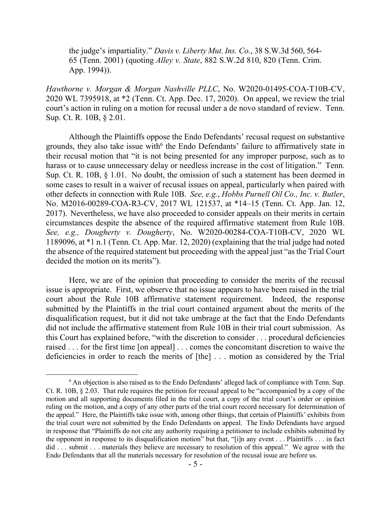the judge's impartiality." *Davis v. Liberty Mut. Ins. Co.*, 38 S.W.3d 560, 564- 65 (Tenn. 2001) (quoting *Alley v. State*, 882 S.W.2d 810, 820 (Tenn. Crim. App. 1994)).

*Hawthorne v. Morgan & Morgan Nashville PLLC*, No. W2020-01495-COA-T10B-CV, 2020 WL 7395918, at \*2 (Tenn. Ct. App. Dec. 17, 2020). On appeal, we review the trial court's action in ruling on a motion for recusal under a de novo standard of review. Tenn. Sup. Ct. R. 10B, § 2.01.

Although the Plaintiffs oppose the Endo Defendants' recusal request on substantive grounds, they also take issue with<sup>6</sup> the Endo Defendants' failure to affirmatively state in their recusal motion that "it is not being presented for any improper purpose, such as to harass or to cause unnecessary delay or needless increase in the cost of litigation." Tenn. Sup. Ct. R. 10B, § 1.01. No doubt, the omission of such a statement has been deemed in some cases to result in a waiver of recusal issues on appeal, particularly when paired with other defects in connection with Rule 10B. *See, e.g.*, *Hobbs Purnell Oil Co., Inc. v. Butler*, No. M2016-00289-COA-R3-CV, 2017 WL 121537, at \*14–15 (Tenn. Ct. App. Jan. 12, 2017). Nevertheless, we have also proceeded to consider appeals on their merits in certain circumstances despite the absence of the required affirmative statement from Rule 10B. *See, e.g., Dougherty v. Dougherty*, No. W2020-00284-COA-T10B-CV, 2020 WL 1189096, at \*1 n.1 (Tenn. Ct. App. Mar. 12, 2020) (explaining that the trial judge had noted the absence of the required statement but proceeding with the appeal just "as the Trial Court decided the motion on its merits").

Here, we are of the opinion that proceeding to consider the merits of the recusal issue is appropriate. First, we observe that no issue appears to have been raised in the trial court about the Rule 10B affirmative statement requirement. Indeed, the response submitted by the Plaintiffs in the trial court contained argument about the merits of the disqualification request, but it did not take umbrage at the fact that the Endo Defendants did not include the affirmative statement from Rule 10B in their trial court submission. As this Court has explained before, "with the discretion to consider . . . procedural deficiencies raised . . . for the first time [on appeal] . . . comes the concomitant discretion to waive the deficiencies in order to reach the merits of [the] . . . motion as considered by the Trial

 $\overline{a}$ 

 $6$  An objection is also raised as to the Endo Defendants' alleged lack of compliance with Tenn. Sup. Ct. R. 10B, § 2.03. That rule requires the petition for recusal appeal to be "accompanied by a copy of the motion and all supporting documents filed in the trial court, a copy of the trial court's order or opinion ruling on the motion, and a copy of any other parts of the trial court record necessary for determination of the appeal." Here, the Plaintiffs take issue with, among other things, that certain of Plaintiffs' exhibits from the trial court were not submitted by the Endo Defendants on appeal. The Endo Defendants have argued in response that "Plaintiffs do not cite any authority requiring a petitioner to include exhibits submitted by the opponent in response to its disqualification motion" but that, "[i]n any event . . . Plaintiffs . . . in fact did . . . submit . . . materials they believe are necessary to resolution of this appeal." We agree with the Endo Defendants that all the materials necessary for resolution of the recusal issue are before us.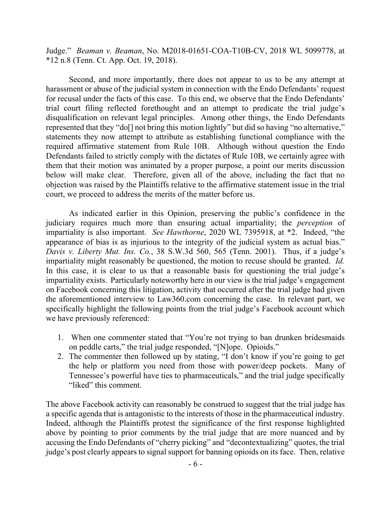Judge." *Beaman v. Beaman*, No. M2018-01651-COA-T10B-CV, 2018 WL 5099778, at \*12 n.8 (Tenn. Ct. App. Oct. 19, 2018).

Second, and more importantly, there does not appear to us to be any attempt at harassment or abuse of the judicial system in connection with the Endo Defendants' request for recusal under the facts of this case. To this end, we observe that the Endo Defendants' trial court filing reflected forethought and an attempt to predicate the trial judge's disqualification on relevant legal principles. Among other things, the Endo Defendants represented that they "do[] not bring this motion lightly" but did so having "no alternative," statements they now attempt to attribute as establishing functional compliance with the required affirmative statement from Rule 10B. Although without question the Endo Defendants failed to strictly comply with the dictates of Rule 10B, we certainly agree with them that their motion was animated by a proper purpose, a point our merits discussion below will make clear. Therefore, given all of the above, including the fact that no objection was raised by the Plaintiffs relative to the affirmative statement issue in the trial court, we proceed to address the merits of the matter before us.

As indicated earlier in this Opinion, preserving the public's confidence in the judiciary requires much more than ensuring actual impartiality; the *perception* of impartiality is also important. *See Hawthorne*, 2020 WL 7395918, at \*2. Indeed, "the appearance of bias is as injurious to the integrity of the judicial system as actual bias." *Davis v. Liberty Mut. Ins. Co.*, 38 S.W.3d 560, 565 (Tenn. 2001). Thus, if a judge's impartiality might reasonably be questioned, the motion to recuse should be granted. *Id.* In this case, it is clear to us that a reasonable basis for questioning the trial judge's impartiality exists. Particularly noteworthy here in our view is the trial judge's engagement on Facebook concerning this litigation, activity that occurred after the trial judge had given the aforementioned interview to Law360.com concerning the case. In relevant part, we specifically highlight the following points from the trial judge's Facebook account which we have previously referenced:

- 1. When one commenter stated that "You're not trying to ban drunken bridesmaids on peddle carts," the trial judge responded, "[N]ope. Opioids."
- 2. The commenter then followed up by stating, "I don't know if you're going to get the help or platform you need from those with power/deep pockets. Many of Tennessee's powerful have ties to pharmaceuticals," and the trial judge specifically "liked" this comment.

The above Facebook activity can reasonably be construed to suggest that the trial judge has a specific agenda that is antagonistic to the interests of those in the pharmaceutical industry. Indeed, although the Plaintiffs protest the significance of the first response highlighted above by pointing to prior comments by the trial judge that are more nuanced and by accusing the Endo Defendants of "cherry picking" and "decontextualizing" quotes, the trial judge's post clearly appears to signal support for banning opioids on its face. Then, relative